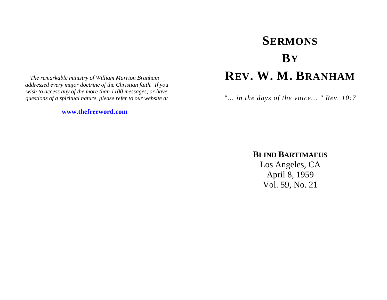*The remarkable ministry of William Marrion Branham addressed every major doctrine of the Christian faith. If you wish to access any of the more than 1100 messages, or have questions of a spiritual nature, please refer to our website at* 

**[www.thefreeword.com](http://www.thefreeword.com/)**

# **SERMONS BYREV. W. M. BRANHAM**

*"... in the days of the voice... " Rev. 10:7* 

# **BLIND BARTIMAEUS**

Los Angeles, CA April 8, 1959 Vol. 59, No. 21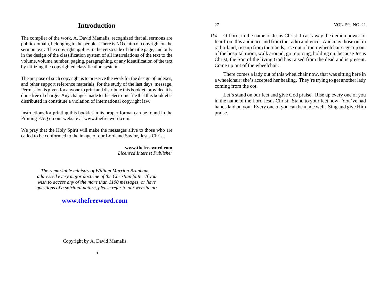# **Introduction**

The compiler of the work, A. David Mamalis, recognized that all sermons are public domain, belonging to the people. There is NO claim of copyright on the sermon text. The copyright applies to the verso side of the title page; and only in the design of the classification system of all interrelations of the text to the volume, volume number, paging, paragraphing, or any identification of the text by utilizing the copyrighted classification system.

The purpose of such copyright is to preserve the work for the design of indexes, and other support reference materials, for the study of the last days' message. Permission is given for anyone to print and distribute this booklet, provided it is done free of charge. Any changes made to the electronic file that this booklet is distributed in constitute a violation of international copyright law.

Instructions for printing this booklet in its proper format can be found in the Printing FAQ on our website at www.thefreeword.com.

We pray that the Holy Spirit will make the messages alive to those who are called to be conformed to the image of our Lord and Savior, Jesus Christ.

> **www.thefreeword.com** *Licensed Internet Publisher*

*The remarkable ministry of William Marrion Branham addressed every major doctrine of the Christian faith. If you wish to access any of the more than 1100 messages, or have questions of a spiritual nature, please refer to our website at:* 

# **[www.thefreeword.com](http://www.thefreeword.com/)**

154 O Lord, in the name of Jesus Christ, I cast away the demon power of fear from this audience and from the radio audience. And may those out in radio-land, rise up from their beds, rise out of their wheelchairs, get up out of the hospital room, walk around, go rejoicing, holding on, because Jesus Christ, the Son of the living God has raised from the dead and is present. Come up out of the wheelchair.

 There comes a lady out of this wheelchair now, that was sitting here in a wheelchair; she's accepted her healing. They're trying to get another lady coming from the cot.

 Let's stand on our feet and give God praise. Rise up every one of you in the name of the Lord Jesus Christ. Stand to your feet now. You've had hands laid on you. Every one of you can be made well. Sing and give Him praise.

Copyright by A. David Mamalis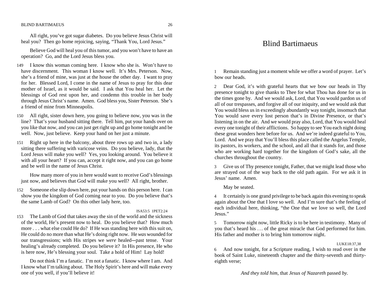#### BLIND BARTIMAEUS 26

 All right, you've got sugar diabetes. Do you believe Jesus Christ will heal you? Then go home rejoicing, saying, "Thank You, Lord Jesus."

 Believe God will heal you of this tumor, and you won't have to have an operation? Go, and the Lord Jesus bless you.

- 149 I know this woman coming here. I know who she is. Won't have to have discernment. This woman I know well. It's Mrs. Peterson. Now, she's a friend of mine, was just at the house the other day. I want to pray for her. Blessed Lord, I come in the name of Jesus to pray for this dear mother of Israel, as it would be said. I ask that You heal her. Let the blessings of God rest upon her, and condemn this trouble in her body through Jesus Christ's name. Amen. God bless you, Sister Peterson. She's a friend of mine from Minneapolis.
- 150 All right, sister down here, you going to believe now, you was in the line? That's your husband sitting there. Tell him, put your hands over on you like that now, and you can just get right up and go home tonight and be well. Now, just believe. Keep your hand on her just a minute.
- 151 Right up here in the balcony, about three rows up and two in, a lady sitting there suffering with varicose veins. Do you believe, lady, that the Lord Jesus will make you well? Yes, you looking around. You believe it with all your heart? If you can, accept it right now, and you can go home and be well in the name of Jesus Christ.

 How many more of you in here would want to receive God's blessings just now, and believes that God will make you well? All right, brother.

152 Someone else slip down here, put your hands on this person here. I can show you the kingdom of God coming near to you. Do you believe that's the same Lamb of God? On this other lady here, too.

#### ISA53:5 1PET2:24

153 The Lamb of God that takes away the sin of the world and the sickness of the world, He's present now to heal. Do you believe that? How much more . . . what else could He do? If He was standing here with this suit on, He could do no more than what He's doing right now. He *was* wounded for our transgressions; with His stripes we *were* healed-past tense. Your healing's already completed. Do you believe it? In His presence, He who is here now, He's blessing your soul. Take a hold of Him! Lay hold!

 Do not think I'm a fanatic. I'm not a fanatic. I know where I am. And I know what I'm talking about. The Holy Spirit's here and will make every one of you well, if you'll believe it!

# Blind Bartimaeus

1 Remain standing just a moment while we offer a word of prayer. Let's bow our heads.

2 Dear God, it's with grateful hearts that we bow our heads in Thy presence tonight to give thanks to Thee for what Thou has done for us in the times gone by. And we would ask, Lord, that You would pardon us of all of our trespasses, and forgive all of our iniquity, and we would ask that You would bless us in exceedingly abundantly way tonight, insomuch that You would save every lost person that's in Divine Presence, or that's listening in on the air. And we would pray also, Lord, that You would heal every one tonight of their afflictions. So happy to see You each night doing these great wonders here before for us. And we're indeed grateful to You, Lord. And we pray that You'll bless this place called the Angelus Temple, its pastors, its workers, and the school, and all that it stands for, and those who are working hard together for the kingdom of God's sake, all the churches throughout the country.

3 Give us of Thy presence tonight, Father, that we might lead those who are strayed out of the way back to the old path again. For we ask it in Jesus' name. Amen.

May be seated.

4 It certainly is one grand privilege to be back again this evening to speak again about the One that I love so well. And I'm sure that's the feeling of each individual here, thinking, "the One that we love so well, the Lord Jesus."

5 Tomorrow night now, little Ricky is to be here in testimony. Many of you that's heard his . . . of the great miracle that God performed for him. His father and mother is to bring him tomorrow night.

# LUKE18:37,38

6 And now tonight, for a Scripture reading, I wish to read over in the book of Saint Luke, nineteenth chapter and the thirty-seventh and thirtyeighth verse;

 *And they told him,* that *Jesus of Nazareth* passed *by.*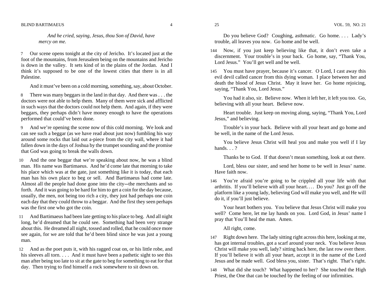*And he cried, saying, Jesus, thou Son of David, have mercy on me.* 

7 Our scene opens tonight at the city of Jericho. It's located just at the foot of the mountains, from Jerusalem being on the mountains and Jericho is down in the valley. It sets kind of in the plains of the Jordan. And I think it's supposed to be one of the lowest cities that there is in all Palestine.

And it must've been on a cold morning, something, say, about October.

8 There was many beggars in the land in that day. And there was . . . the doctors were not able to help them. Many of them were sick and afflicted in such ways that the doctors could not help them. And again, if they were beggars, they perhaps didn't have money enough to have the operations performed that could've been done.

- 9 And we're opening the scene now of this cold morning. We look and can see such a beggar (as we have read about just now) fumbling his way around some rocks that laid out a-piece from the city wall, where it had fallen down in the days of Joshua by the trumpet sounding and the promise that God was going to break the walls down.
- 10 And the one beggar that we're speaking about now, he was a blind man. His name was Bartimaeus. And he'd come late that morning to take his place which was at the gate, just something like it is today, that each man has his own place to beg or sell. And Bartimaeus had come late. Almost all the people had done gone into the city---the merchants and so forth. And it was going to be hard for him to get a coin for the day because, usually, the men, not being too rich a city, they just had perhaps one coin each day that they could throw to a beggar. And the first they seen perhaps was the first one who got the coin.

11 And Bartimaeus had been late getting to his place to beg. And all night long, he'd dreamed that he could see. Something had been very strange about this. He dreamed all night, tossed and rolled, that he could once more see again, for we are told that he'd been blind since he was just a young man.

12 And as the poet puts it, with his ragged coat on, or his little robe, and his sleeves all torn. . . . And it must have been a pathetic sight to see this man after being too late to sit at the gate to beg for something to eat for that day. Then trying to find himself a rock somewhere to sit down on.

 Do you believe God? Coughing, asthmatic. Go home. . . . Lady's trouble, all leaves you now. Go home and be well.

- 144 Now, if you just keep believing like that, it don't even take a discernment. Your trouble's in your back. Go home, say, "Thank You, Lord Jesus." You'll get well and be well.
- 145 You must have prayer, because it's cancer. O Lord, I cast away this evil devil called cancer from this dying woman. I place between her and death the blood of Jesus Christ. May it leave her. Go home rejoicing, saying, "Thank You, Lord Jesus."

 You had it also, sir. Believe now. When it left her, it left you too. Go, believing with all your heart. Believe now.

 Heart trouble. Just keep on moving along, saying, "Thank You, Lord Jesus," and believing.

 Trouble's in your back. Believe with all your heart and go home and be well, in the name of the Lord Jesus.

 You believe Jesus Christ will heal you and make you well if I lay hands. . . ?

Thanks be to God. If that doesn't mean something, look at out there.

 Lord, bless our sister, and send her home to be well in Jesus' name. Have faith now.

146 You're afraid you're going to be crippled all your life with that arthritis. If you'll believe with all your heart. . . . Do you? Just go off the platform like a young lady, believing God will make you well, and He will do it, if you'll just believe.

 Your heart bothers you. You believe that Jesus Christ will make you well? Come here, let me lay hands on you. Lord God, in Jesus' name I pray that You'll heal the man. Amen.

All right, come.

147 Right down here. The lady sitting right across this here, looking at me, has got internal troubles, got a scarf around your neck. You believe Jesus Christ will make you well, lady? sitting back here, the last row over there. If you'll believe it with all your heart, accept it in the name of the Lord Jesus and be made well. God bless you, sister. That's right. That's right.

148 What did she touch? What happened to her? She touched the High Priest, the One that can be touched by the feeling of our infirmities.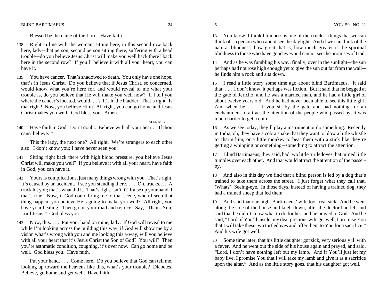#### BLIND BARTIMAEUS 24 5 VOL. 59, NO. 21

Blessed be the name of the Lord. Have faith.

- 138 Right in line with the woman, sitting here, in this second row back here, lady---that person, second person sitting there, suffering with a head trouble-do you believe Jesus Christ will make you well back there? back here in the second row? If you'll believe it with all your heart, you can have it.
- 139 You have cancer. That's shadowed to death. You only have one hope, that's in Jesus Christ. Do you believe that if Jesus Christ, so concerned, would know what you're here for, and would reveal to me what your trouble is, do you believe that He will make you well now? If I tell you where the cancer's located, would. . . ? It's in the bladder. That's right. Is that right? Now, you believe Him? All right, you can go home and Jesus Christ makes you well. God bless you. Amen.

MARK9:23

140 Have faith in God. Don't doubt. Believe with all your heart. "If thou canst believe. "

 This the lady, the next one? All right. We're strangers to each other also. I don't know you; I have never seen you.

- 141 Sitting right back there with high blood pressure, you believe Jesus Christ will make you well? If you believe it with all your heart, have faith in God, you can have it.
- 142 Yours is complications, just many things wrong with you. That's right. It's caused by an accident. I see you standing there. . . . Oh, trucks. . . . A truck hit you; that's what did it. That's right, isn't it? Raise up your hand if that's true. Now, if God could bring me to that scene, when I seen that thing happen, you believe He's going to make you well? All right, you have your healing. Then go on your road and rejoice. Say, "Thank You, Lord Jesus." God bless you.
- 143 Now, this. . . . Put your hand on mine, lady. If God will reveal to me while I'm looking across the building this way, if God will show me by a vision what's wrong with you and me looking this a-way, will you believe with all your heart that it's Jesus Christ the Son of God? You will? Then you're asthmatic condition, coughing, it's over now. Can go home and be well. God bless you. Have faith.

 Put your hand. . . . Come here. Do you believe that God can tell me, looking up toward the heavens like this, what's your trouble? Diabetes. Believe, go home and get well. Have faith.

13 You know, I think blindness is one of the cruelest things that we can think of-a person who cannot see the daylight. And if we can think of the natural blindness, how great that is, how much greater is the spiritual blindness to those who have good eyes and cannot see the promises of God.

14 And as he was fumbling his way, finally, over in the sunlight-the sun perhaps had not rose high enough yet to give the sun out far from the wall--he finds him a rock and sits down.

15 I read a little story some time ago about blind Bartimaeus. It said that. . . . I don't know, it perhaps was fiction. But it said that he begged at the gate of Jericho, and he was a married man, and he had a little girl of about twelve years old. And he had never been able to see this little girl. And when he.... If you sit by the gate and had nothing for an enchantment to attract the attention of the people who passed by, it was much harder to get a coin.

16 As we see today, they'll play a instrument or do something. Recently in India, oh, they have a cobra snake that they want to blow a little whistle to charm him, or a little monkey to beat them with a stick like they're getting a whipping or something—something to attract the attention.

17 Blind Bartimaeus, they said, had two little turtledoves that turned little tumbles over each other. And that would attract the attention of the passerby.

18 And also in this day we find that a blind person is led by a dog that's trained to take them across the street. I just forget what they call that. (What?) Seeing-eye. In those days, instead of having a trained dog, they had a trained sheep that led them.

19 And said that one night Bartimaeus' wife took real sick. And he went along the side of the house and knelt down, after the doctor had left and said that he didn't know what to do for her, and he prayed to God. And he said, "Lord, if You'll just let my dear precious wife get well, I promise You that I will take these two turtledoves and offer them to You for a sacrifice." And his wife got well.

20 Some time later, that his little daughter got sick, very seriously ill with a fever. And he went out the side of his house again and prayed, and said, "Lord, I don't have nothing left but my lamb. And if You'll just let my baby live, I promise You that I will take my lamb and give it as a sacrifice upon the altar." And as the little story goes, that his daughter got well.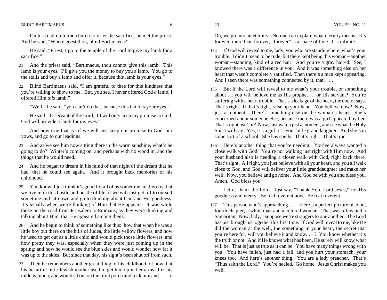On his road up to the church to offer the sacrifice, he met the priest. And he said, "Where goest thou, blind Bartimaeus?"

 He said, "Priest, I go to the temple of the Lord to give my lamb for a sacrifice."

- 21 And the priest said, "Bartimaeus, thou cannot give this lamb. This lamb is your eyes. I'll give you the money to buy you a lamb. You go to the stalls and buy a lamb and offer it, because this lamb is your eyes."
- 22 Blind Bartimaeus said, "I am grateful to thee for this kindness that you're willing to show to me. But, you see, I never offered God *a* lamb, I offered Him *this* lamb."

"Well," he said, "you can't do that, because this lamb is your eyes."

 He said, "O servant of the Lord, if I will only keep my promise to God, God will provide a lamb for my eyes."

And how true that is—if we will just keep our promise to God, our vows, and go to our leadings.

- 23 And as we see him now sitting there in the warm sunshine, what's he going to do? Winter's coming on, and perhaps with no wood in, and the things that he would need.
- 24 And he began to dream in his mind of that night of the dream that he had, that he could see again. And it brought back memories of his childhood.
- 25 You know, I just think it's good for all of us sometime, in this day that we live in in this hustle and bustle of life, if we will just get off to ourself sometime and sit down and go to thinking about God and His goodness. It's usually when we're thinking of Him that He appears. It was while those on the road from Jerusalem to Emmaus, as they were thinking and talking about Him, that He appeared among them.
- 26 And he begin to think of something like this: how that when he was a little boy out there on the hills of Judea, the little yellow flowers, and how he used to get out as a little child and would pick those little flowers, and how pretty they was, especially when they were just coming up in the spring; and how he would see the blue skies and would wonder how far it was up to the skies. But since that day, his sight's been shut off from such.
- 27 Then he remembers another great thing of his childhood, of how that his beautiful little Jewish mother used to get him up in her arms after his midday lunch, and would sit out on the front porch and rock him and . . . to

Oh, we go into an eternity. No one can explain what eternity means. It's forever, more than forever; "forever" is a space of time. It's infinite.

- 134 If God will reveal to me, lady, you who are standing here, what's your trouble. I didn't mean to be rude, but there kept being this woman--another woman-standing, kind of a red hair. And you're a gray haired. See, I knowed there was a difference in you. And it was something else on her heart that wasn't completely satisfied. Then there's a man kept appearing. And I seen there was something connected by it, that....
- 135 But if the Lord will reveal to me what's your trouble, or something about ... you will believe me as His prophet ... or His servant? You're suffering with a heart trouble. That's a leakage of the heart, the doctor says. That's right. If that's right, raise up your hand. You believe now? Now, just a moment. There's something else on the woman's heart. She's concerned about someone else, because there was a girl appeared by her. That's right, isn't it? Now, just watch just a moment, and see what the Holy Spirit will say. Yes, it's a girl; it's your little granddaughter. And she's in some sort of a school. She has spells. That's right. That's true.
- 136 Here's another thing that you're needing. You've always wanted a close walk with God. You're not walking just right with Him now. And your husband also is needing a closer walk with God, right back there. That's right. All right, you just believe with all your heart, and you all walk close to God, and God will deliver your little granddaughter and make her well. Now, you believe and go home. And God be with you and bless you. Amen. God bless you.

 Let us thank the Lord. Just say, "Thank You, Lord Jesus," for His goodness and mercy. Be real reverent now. Be real reverent.

137 This person who's approaching. . . . Here's a perfect picture of John, fourth chapter, a white man and a colored woman. That was a Jew and a Samaritan. Now, lady, I suppose we're strangers to one another. The Lord has just brought us together this first time. If God will reveal to me, like He did the woman at the well, the something in your heart, the secret that you're here for, will you believe it and know. . . ? You know whether it's the truth or not. And if He knows what has been, He surely will know what will be. That is just as true as it can be. You have many things wrong with you. You have fallen, just had a fall, and you hurt your stomach, your knees too. And here's another thing. You are a lady preacher. That's "Thus saith the Lord." You're healed. Go home. Jesus Christ makes you well.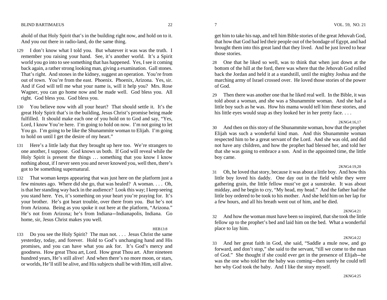ahold of that Holy Spirit that's in the building right now, and hold on to it. And you out there in radio-land, do the same thing.

- 129 I don't know what I told you. But whatever it was was the truth. I remember you raising your hand. See, it's another world. It's a Spirit world you go into to see something that has happened. Yes, I see it coming back again, a rather strong looking man, giving a examination. Gall stones. That's right. And stones in the kidney, suggest an operation. You're from out of town. You're from the east. Phoenix. Phoenix, Arizona. Yes, sir. And if God will tell me what your name is, will it help you? Mrs. Rose Wagner, you can go home now and be made well. God bless you. All right. God bless you. God bless you.
- 130 You believe now with all your heart? That should settle it. It's the great Holy Spirit that's in the building, Jesus Christ's promise being made fulfilled. It should make each one of you hold on to God and say, "Yes, Lord, I know You're here. I'm going to hold on now. I'm not going to let You go. I'm going to be like the Shunammite woman to Elijah. I'm going to hold on until I get the desire of my heart."
- 131 Here's a little lady that they brought up here too. We're strangers to one another, I suppose. God knows us both. If God will reveal while the Holy Spirit is present the things ... something that you know I know nothing about, if I never seen you and never knowed you, well then, there's got to be something supernatural.
- 132 That woman keeps appearing that was just here on the platform just a few minutes ago. Where did she go, that was healed? A woman. . . . Oh, is that her standing way back in the audience? Look this way; I keep seeing you stand here. Yes, it's something on your heart you're praying for. It's your brother. He's got heart trouble, over there from you. But he's not from Arizona. Being as you spoke it out here at the platform, "Arizona." He's not from Arizona; he's from Indiana--Indianapolis, Indiana. Go home, sir, Jesus Christ makes you well.

#### $HER13:8$

133 Do you see the Holy Spirit? The man not. . . . Jesus Christ the same yesterday, today, and forever. Hold to God's unchanging hand and His promises, and you can have what you ask for. It's God's mercy and goodness. How great Thou art, Lord. How great Thou art. After nineteen hundred years, He's still alive! And when there's no more moon, or stars, or worlds, He'll still be alive, and His subjects shall be with Him, still alive. get him to take his nap, and tell him Bible stories of the great Jehovah God, that how that God had led their people out of the bondage of Egypt, and had brought them into this great land that they lived. And he just loved to hear those stories.

28 One that he liked so well, was to think that when just down at the bottom of the hill at the ford, there was where that the Jehovah God rolled back the Jordan and held it at a standstill, until the mighty Joshua and the marching army of Israel crossed over. He loved those stories of the power of God.

29 Then there was another one that he liked real well. In the Bible, it was told about a woman, and she was a Shunammite woman. And she had a little boy such as he was. How his mama would tell him these stories, and his little eyes would snap as they looked her in her pretty face. . . .

# 2KNG4:16,17

30 And then on this story of the Shunammite woman, how that the prophet Elijah was such a wonderful kind man. And this Shunammite woman respected him to be a great servant of the Lord. And she was old, and did not have any children, and how the prophet had blessed her, and told her that she was going to embrace a son. And in the appointed time, the little boy came.

#### 2KNG4:19,20

31 Oh, he loved that story, because it was about a little boy. And how this little boy loved his daddy. One day out in the field while they were gathering grain, the little fellow must've got a sunstroke. It was about midday, and he begin to cry, "My head, my head." And the father had the little boy ordered to be took to his mother. And she held him on her lap for a few hours, and all his breath went out of him, and he died.

#### 2KNG4:21

32 And how the woman must have been so inspired, that she took the little fellow up to the prophet's bed and laid him on the bed. What a wonderful place to lay him.

#### 2KNG4:22

33 And her great faith in God, she said, "Saddle a mule now, and go forward, and don't stop," she said to the servant, "till we come to the man of God." She thought if she could ever get in the presence of Elijah--he was the one who told her the baby was coming—then surely he could tell her why God took the baby. And I like the story myself.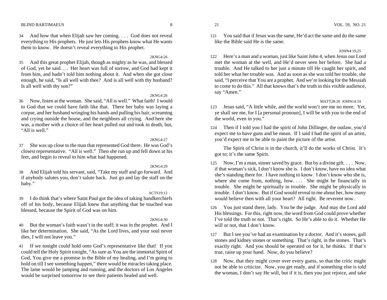34 And how that when Elijah saw her coming. . . . God does not reveal everything to His prophets. He just lets His prophets know what He wants them to know. He doesn't reveal everything to His prophet.

#### 2KNG4:26

35 And this great prophet Elijah, though as mighty as he was, and blessed of God, yet he said.... Her heart was full of sorrow, and God had kept it from him, and hadn't told him nothing about it. And when she got close enough, he said, "Is all well with thee? And is all well with thy husband? Is all well with thy son?"

# $2KNG4.26$

36 Now, listen at the woman. She said, "All is well." What faith! I would to God that we could have faith like that. There her baby was laying a corpse, and her husband wringing his hands and pulling his hair, screaming and crying outside the house, and the neighbors all crying. And here she was, a mother with a choice of her heart pulled out and took in death, but, "All is well."

# 2KNG4:27

37 She was up close to the man that represented God there. He was God's closest representative. "All is well." Then she run up and fell down at his feet, and begin to reveal to him what had happened.

#### 2KNG4:29

38 And Elijah told his servant, said, "Take my staff and go forward. And if anybody salutes you, don't salute back. Just go and lay the staff on the baby."

# ACTS19:12

39 I do think that's where Saint Paul got the idea of taking handkerchiefs off of his body, because Elijah knew that anything that he touched was blessed, because the Spirit of God was on him.

# 2KNG4:30

40 But the woman's faith wasn't in the staff; it was in the prophet. And I like her determination. She said, "As the Lord lives, and your soul never dies, I will not leave you."

41 If we tonight could hold onto God's representative like that! If you could tell the Holy Spirit tonight, "As sure as You are the immortal Spirit of God, You give me a promise in the Bible of my healing, and I'm going to hold on till I see something happen," there would be miracles taking place. The lame would be jumping and running, and the doctors of Los Angeles would be surprised tomorrow to see their patients healed and well.

121 You said that if Jesus was the same, He'd act the same and do the same like the Bible said He is the same.

#### JOHN4:19,25

122 Here's a man and a woman, just like Saint John 4, when Jesus our Lord met the woman at the well, and He'd never seen her before. She had a trouble. And He talked to her just a minute till He caught her spirit, and told her what her trouble was. And as soon as she was told her trouble, she said, "I perceive that You are a prophet. And we're looking for the Messiah to come to do this." All that knows that's the truth in this visible audience, say "Amen."

## MATT28:20 JOHN14:19

- 123 Jesus said, "A little while, and the world won't see me no more. Yet, ye shall see me, for I [a personal pronoun], I will be with you to the end of the world, even in you."
- 124 Then if I told you I had the spirit of John Dillinger, the outlaw, you'd expect me to have guns and be mean. If I said I had the spirit of an artist, you'd expect me to be able to paint the picture of the artist.

 The Spirit of Christ is in the church, it'll do the works of Christ. It's got to; it's the same Spirit.

- 125 Now, I'm a man, sinner saved by grace. But by a divine gift. . . . Now, if that woman's sick, I don't know she is. I don't know, have no idea what she's standing there for. I have nothing to know. I don't know who she is, where she come from, nothing, how.... She might be financially in trouble. She might be spiritually in trouble. She might be physically in trouble. I don't know. But if God would reveal to me about her, how many would believe then with all your heart? All right. Be reverent now.
- 126 You just stand there, lady. You be the judge. And may the Lord add His blessings. For this, right now, the word from God could prove whether I've told the truth or not. That's right. So He's able to do it. Whether He will or not, that I don't know.
- 127 But I see you've had an examination by a doctor. And it's stones, gall stones and kidney stones or something. That's right, in the stones. That's exactly right. And you should be operated on for it, he thinks. If that's true, raise up your hand. Now, do you believe?
- 128 Now, that they might cover over every guess, so that the critic might not be able to criticize. Now, you get ready, and if something else is told the woman, I don't say He will, but if it is, then you just rejoice, and take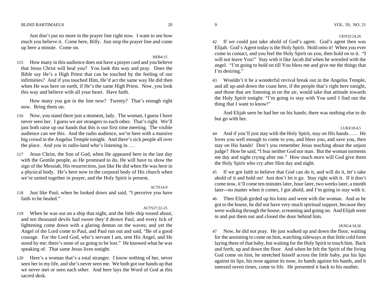Just don't put no more in the prayer line right now. I want to see how much you believe it. Come here, Billy. Just stop the prayer line and come up here a minute. Come on.

HEB4:15

115 How many in this audience does not have a prayer card and you believe that Jesus Christ will heal you? You look this way and pray. Does the Bible say He's a High Priest that can be touched by the feeling of our infirmities? And if you touched Him, He'd act the same way He did then when He was here on earth, if He's the same High Priest. Now, you look this way and believe with all your heart. Have faith.

 How many you got in the line now? Twenty? That's enough right now. Bring them on.

- 116 Now, you stand there just a moment, lady. The woman, I guess I have never seen her. I guess we are strangers to each other. That's right. We'll just both raise up our hands that this is our first time meeting. The visible audience can see this. And the radio audience, we're here with a massive big crowd in the Angelus Temple tonight. And there's sick people all over the place. And you in radio-land who's listening in. . . .
- 117 Jesus Christ, the Son of God, when He appeared here in the last day with the Gentile people, as He promised to do, He will have to show the sign of the Messiah, His resurrection, just like He did when He was here in a physical body. He's here now in the corporal body of His church when we're united together in prayer, and the Holy Spirit is present.

# ACTS14:9

118 Just like Paul, when he looked down and said, "I perceive you have faith to be healed."

# ACTS27:22-25

- 119 When he was out on a ship that night, and the little ship tossed about, and ten thousand devils had swore they'd drown Paul, and every lick of lightening come down with a glaring demon on the waves; and yet the Angel of the Lord come to Paul, and Paul run out and said, "Be of a good courage. For the Lord God, who's servant I am, sent His Angel, and He stood by me; there's none of us going to be lost." He knowed what he was speaking of. That same Jesus lives tonight.
- 120 Here's a woman that's a total stranger. I know nothing of her, never seen her in my life, and she's never seen me. We both got our hands up that we never met or seen each other. And here lays the Word of God at this sacred desk.

#### GEN32:24,26

42 If we could just take ahold of God's agent. God's agent then was Elijah. God's Agent today is the Holy Spirit. Hold onto it! When you ever come in contact, and you feel the Holy Spirit on you, then hold on to it. "I will not leave You!" Stay with it like Jacob did when he wrestled with the angel. "I'm going to hold on till You bless me and give me the things that I'm desiring."

43 Wouldn't it be a wonderful revival break out in the Angelus Temple, and all up-and-down the coast here, if the people that's right here tonight, and those that are listening in on the air, would take that attitude towards the Holy Spirit tonight: "I'm going to stay with You until I find out the thing that I want to know!"

 And Elijah seen he had her on his hands; there was nothing else to do but go with her.

## LUKE18:4,5

44 And if you'll just stay with the Holy Spirit, stay on His hands. . . . . He loves you well enough to come to you, and bless you, and save you, then stay on His hands! Don't you remember Jesus teaching about the unjust judge? How he said, "I fear neither God nor man. But the woman torments me day and night crying after me." How much *more* will God give them the Holy Spirit who cry after Him day and night.

45 If we got faith to believe that God can do it, and will do it, let's take ahold of it and hold on! Just don't let it go. Stay right with it. If it don't come now, it'll come ten minutes later, hour later, two weeks later, a month later-no matter when it comes, I got ahold, and I'm going to stay with it.

46 Then Elijah girded up his loins and went with the woman. And as he got to the house, he did not have very much spiritual support, because they were walking through the house, screaming and going on. And Elijah went in and put them out and closed the door behind him.

# 2KNG4:34,36

47 Now, he did not pray. He just walked up and down the floor, waiting for the anointing to come on him, watching sideways at that little cold form laying there of that baby, but waiting for the Holy Spirit to touch him. Back and forth, up and down the floor. And when he felt the Spirit of the living God come on him, he stretched hisself across the little baby, put his lips against its lips, his nose against its nose, its hands against his hands, and it sneezed seven times, come to life. He presented it back to his mother.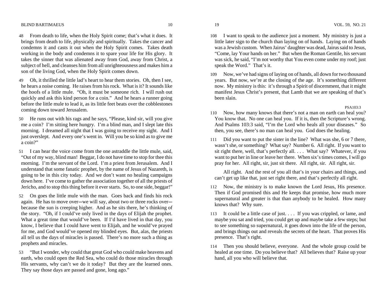- 48 From death to life, when the Holy Spirit come; that's what it does. It brings from death to life, physically and spiritually. Takes the cancer and condemns it and casts it out when the Holy Spirit comes. Takes death working in the body and condemns it to spare your life for His glory. It takes the sinner that was alienated away from God, away from Christ, a subject of hell, and cleanses him from all unrighteousness and makes him a son of the living God, when the Holy Spirit comes down.
- 49 Oh, it thrilled the little lad's heart to hear them stories. Oh, then I see, he hears a noise coming. He raises from his rock. What is it? It sounds like the hoofs of a little mule. "Oh, it must be someone rich. I will rush out quickly and ask this kind person for a coin." And he hears a runner going before the little mule to lead it, as its little feet beats over the cobblestones coming down toward Jerusalem.
- 50 He runs out with his rags and he says, "Please, kind sir, will you give me a coin? I'm sitting here hungry. I'm a blind man, and I slept late this morning. I dreamed all night that I was going to receive my sight. And I just overslept. And every one's went in. Will you be so kind as to give me a coin?"
- 51 I can hear the voice come from the one astraddle the little mule, said, "Out of my way, blind man! Beggar, I do not have time to stop for thee this morning. I'm the servant of the Lord. I'm a priest from Jerusalem. And I understand that some fanatic prophet, by the name of Jesus of Nazareth, is going to be in this city today. And we don't want no healing campaigns down here. I've come to gather the association together of all the priests of Jericho, and to stop this thing before it ever starts. So, to one side, beggar!"
- 52 On goes the little mule with the man. Goes back and finds his rock again. He has to move over--we will say, about two or three rocks over-because the sun is creeping higher. And as he sits there, he's thinking of the story. "Oh, if I could've only lived in the days of Elijah the prophet. What a great time that would've been. If I'd have lived in that day, you know, I believe that I could have went to Elijah, and he would've prayed for me, and God would've opened my blinded eyes. But, alas, the priests all tell us the days of miracles is passed. There's no more such a thing as prophets and miracles.
- <sup>53</sup>"But I wonder, why could that great God who could make heavens and earth, who could open the Red Sea, who could do those miracles through His servants, why can't we do it today? But they are the learned ones. They say those days are passed and gone, long ago."
- 
- 108 I want to speak to the audience just a moment. My ministry is just a little later sign to the church than laying on of hands. Laying on of hands was a Jewish custom. When Jairus' daughter was dead, Jairus said to Jesus, "Come, lay Your hands on her." But when the Roman Gentile, his servant was sick, he said, "I'm not worthy that You even come under my roof; just speak the Word." That's it.
- 109 Now, we've had signs of laying on of hands, all down for two thousand years. But now, we're at the closing of the age. It's something different now. My ministry is this: it's through a Spirit of discernment, that it might manifest Jesus Christ's present, that Lamb that we are speaking of that's been slain.

## PSA103:3

- 110 Now, how many knows that there's not a man on earth can heal you? You know that. No one can heal you. If it is, then the Scripture's wrong. And Psalms 103:3 said, "I'm the Lord who heals all your diseases." So then, you see, there's no man can heal you. God does the healing.
- 111 Did you want to put the sister in the line? What was she, 6 or 7 there, wasn't she, or something? What say? Number 6. All right. If you want to sit right there, well, that's perfectly all. . . . What say? Whatever, if you want to put her in line or leave her there. When six's times comes, I will go pray for her. All right, sir, just sit there. All right, sir. All right, sir.

 All right. And the rest of you all that's in your chairs and things, and can't get up like that, just set right there, and that's perfectly all right.

- 112 Now, the ministry is to make known the Lord Jesus, His presence. Then if God promised this and He keeps that promise, how much more supernatural and greater is that than anybody to be healed. How many knows that? Why sure.
- 113 It could be a little case of just. . . . If you was crippled, or lame, and maybe you sat and tried, you could get up and maybe take a few steps; but to see something so supernatural, it goes down into the life of the person, and brings things out and reveals the secrets of the heart. That proves His presence. That's right.
- 114 Then you should believe, everyone. And the whole group could be healed at one time. Do you believe that? All believes that? Raise up your hand, all you who will believe that.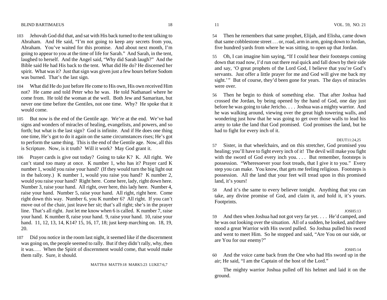- 103 Jehovah God did that, and sat with His back turned to the tent talking to Abraham. And He said, "I'm not going to keep any secrets from you, Abraham. You've waited for this promise. And about next month, I'm going to appear to you at the time of life for Sarah." And Sarah, in the tent, laughed to herself. And the Angel said, "Why did Sarah laugh?" And the Bible said He had His back to the tent. What did He do? He discerned her spirit. What was it? Just that sign was given just a few hours before Sodom was burned. That's the last sign.
- 104 What did He do just before He come to His own, His own received Him not? He came and told Peter who he was. He told Nathanael where he come from. He told the woman at the well. Both Jew and Samaritan, but never one time before the Gentiles, not one time. Why? He spoke that it would come.
- 105 But now is the end of the Gentile age. We're at the end. We've had signs and wonders of miracles of healing, evangelists, and powers, and so forth; but what is the last sign? God is infinite. And if He does one thing one time, He's got to do it again on the same circumstances rises; He's got to perform the same thing. This is the end of the Gentile age. Now, all this is Scripture. Now, is it truth? Will it work? May God grant it.
- 106 Prayer cards is give out today? Going to take K? K. All right. We can't stand too many at once. K number 1, who has it? Prayer card K number 1, would you raise your hand? (If they would turn the big light out in the balcony.) K number 1, would you raise you hand? K number 2, would you raise your hand? Right here. Come here, lady, right down here. Number 3, raise your hand. All right, over here, this lady here. Number 4, raise your hand. Number 5, raise your hand. All right, right here. Come right down this way. Number 6, you K number 6? All right. If you can't move out of the chair, just leave her sit; that's all right; she's in the prayer line. That's all right. Just let me know when 6 is called. K number 7, raise your hand. K number 8, raise your hand. 9, raise your hand. 10, raise your hand. 11, 12, 13, 14, K14? 15, 16, 17, 18; just keep marching on. 18, 19, 20.
- 107 Did you notice in the room last night, it seemed like if the discernment was going on, the people seemed to rally. But if they didn't rally, why, then it was.... When the Spirit of discernment would come, that would make them rally. Sure, it should.

MATT8:8 MATT9:18 MARK5:23 LUKE7:6,7

54 Then he remembers that same prophet, Elijah, and Elisha, came down that same cobblestone street . . . or, road, arm in arm, going down to Jordan, five hundred yards from where he was sitting, to open up that Jordan.

55 Oh, I can imagine him saying, "If I could hear their footsteps coming down that road now, I'd run out there real quick and fall down by their side and say, 'O great prophets of the Lord God, I believe that you're God's servants. Just offer a little prayer for me and God will give me back my sight.'" But of course, they'd been gone for years. The days of miracles were over.

56 Then he begin to think of something else. That after Joshua had crossed the Jordan, by being opened by the hand of God, one day just before he was going to take Jericho. . . . Joshua was a mighty warrior. And he was walking around, viewing over the great high towering walls, and wondering just how that he was going to get over those walls to lead his army to take the land that God promised. God promises the land, but he had to fight for every inch of it.

#### DEUT11:24,25

57 Sister, in that wheelchairs, and on this stretcher, God promised you healing; you'll have to fight every inch of it! The devil will make you fight with the sword of God every inch you.... But remember, footsteps is possession. "Wheresoever your foot treads, that I give it to you." Every step you can make. You know, that gets me feeling religious. Footsteps is possession. All the land that your feet will tread upon in this promised land, it's yours!

58 And it's the same to every believer tonight. Anything that you can take, any divine promise of God, and claim it, and hold it, it's yours. Footprints.

#### JOSH5:13

59 And then when Joshua had not got very far yet. . . . He'd camped, and he was out looking over the situation. All of a sudden, he looked, and there stood a great Warrior with His sword pulled. So Joshua pulled his sword and went to meet Him. So he stopped and said, "Are You on our side, or are You for our enemy?"

## JOSH5:14

60 And the voice came back from the One who had His sword up in the air; He said, "I am the Captain of the host of the Lord."

 The mighty warrior Joshua pulled off his helmet and laid it on the ground.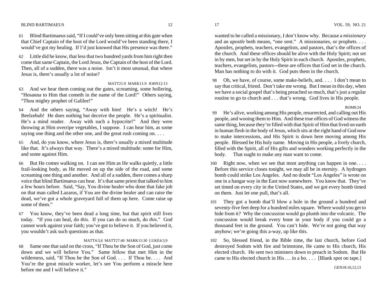#### BLIND BARTIMAEUS 12 17 VOL. 59, NO. 21

- 61 Blind Bartimaeus said, "If I could've only been sitting at this gate when that Chief Captain of the host of the Lord would've been standing there, I would've got my healing. If I'd just knowed that His presence was there."
- 62 Little did he know, that less that two hundred yards from him right then come that same Captain, the Lord Jesus, the Captain of the host of the Lord. Then, all of a sudden, there was a noise. Isn't it most unusual, that where Jesus is, there's usually a lot of noise?

# MATT21:9 MARK11:9 JOHN12:13

- 63 And we hear them coming out the gates, screaming, some hollering, "Hosanna to Him that cometh in the name of the Lord!" Others saying, "Thou mighty prophet of Galilee!"
- 64 And the others saying, "Away with him! He's a witch! He's Beelzebub! He does nothing but deceive the people. He's a spiritualist. He's a mind reader. Away with such a hypocrite!" And they were throwing at Him overripe vegetables, I suppose. I can hear him, as some saying one thing and the other one, and the great rush coming on. . . .
- 65 And, do you know, where Jesus is, there's usually a mixed multitude like that. It's always that way. There's a mixed multitude: some for Him, and some against Him.
- 66 But He comes walking on. I can see Him as He walks quietly, a little frail-looking body, as He moved on up the side of the road, and some screaming one thing and another. And all of a sudden, there comes a sharp voice that blind Bartimaeus can hear. It's that same priest that talked to him a few hours before. Said, "Say, You divine healer who done that fake job on that man called Lazarus, if You are the divine healer and can raise the dead, we've got a whole graveyard full of them up here. Come raise up some of them."
- 67 You know, they've been dead a long time, but that spirit still lives today. "If you can heal, do *this*. If you can do so much, do *this*." God cannot work against your faith; you've got to believe it. If you believed it, you wouldn't ask such questions as that.

# MATT4:3,6 MATT27:40 MARK15:30 LUKE4:3,9

68 Same one that said on the cross, "If Thou be the Son of God, just come down and we will believe You." Same fellow that met Him in the wilderness, said, "If Thou be the Son of God.... If Thou be.... And You're the great miracle worker, let's see You perform a miracle here before me and I will believe it."

wanted to be called a missionary, I don't know why. Because a *missionary* and an *apostle* both means, "one sent." A missionaries, or prophets. . . . Apostles, prophets, teachers, evangelists, and pastors, that's the offices of the church. And these offices should be alive with the Holy Spirit; not set in by men, but set in by the Holy Spirit in each church. Apostles, prophets, teachers, evangelists, pastors---these are offices that God set in the church. Man has nothing to do with it. God puts them in the church.

98 Oh, we have, of course, some make-beliefs, and. . . . I don't mean to say that critical, friend. Don't take me wrong. But I mean in this day, when we have a social gospel that's being preached so much, that's just a regular routine to go to church and . . . that's wrong. God lives in His people.

## ROM8:24

- 99 He's alive, working among His people, resurrected, and calling out His people, and wooing them to Him. And these true offices of God witness the same thing, because they're filled with that Spirit of Him that lived on earth in human flesh in the body of Jesus, which sits at the right hand of God now to make intercessions, and His Spirit is down here moving among His people. Blessed be His holy name. Moving in His people, a lively church, filled with the Spirit, all of His gifts and wonders working perfectly in the body. That ought to make any man want to come.
- 100 Right now, when we see that most anything can happen in one. . . . Before this service closes tonight, we may all be in eternity. A hydrogen bomb could strike Los Angeles. And no doubt "Los Angeles" is wrote on one in a hangar way in the East now somewhere. You know that. They've set timed on every city in the United States, and we got every bomb timed on them. Just let one pull, that's all.
- 101 They got a bomb that'll blow a hole in the ground a hundred and seventy-five feet deep for a hundred miles square. Where would you get to hide from it? Why the concussion would go plumb into the volcanic. The concussion would break every bone in your body if you could go a thousand feet in the ground. You can't hide. We're not going that way anyhow; we're going this a-way, up like this.
- 102 So, blessed friend, in the Bible time, the last church, before God destroyed Sodom with fire and brimstone, He came to His church, His elected church. He sent two ministers down to preach in Sodom. But He came to His elected church in His ... in a bo. . . . [Blank spot on tape.]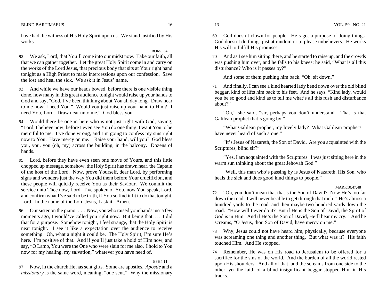have had the witness of His Holy Spirit upon us. We stand justified by His works.

ROM8:34

92 We ask, Lord, that You'll come into our midst now. Take our faith, all that we can gather together. Let the great Holy Spirit come in and carry on the works of the Lord Jesus, that precious body that sits at Your right hand tonight as a High Priest to make intercessions upon our confession. Save the lost and heal the sick. We ask it in Jesus' name.

93 And while we have our heads bowed, before there is one visible thing done, how many in this great audience tonight would raise up your hands to God and say, "God, I've been thinking about You all day long. Draw near to me now; I need You." Would you just raise up your hand to Him? "I need You, Lord. Draw near unto me." God bless you.

94 Would there be one in here who is not just right with God, saying, "Lord, I believe now; before I even see You do one thing, I want You to be merciful to me. I've done wrong, and I'm going to confess my sins right now to You. Have mercy on me." Raise your hand, will you? God bless you, you, you (oh, my) across the building, in the balcony. Dozens of hands.

95 Lord, before they have even seen one move of Yours, and this little chopped up message, somehow, the Holy Spirit has drawn near, the Captain of the host of the Lord. Now, prove Yourself, dear Lord, by performing signs and wonders just the way You did them before Your crucifixion, and these people will quickly receive You as their Saviour. We commit the service unto Thee now, Lord. I've spoken of You, now You speak, Lord, and confirm what I've said to be truth, if You so find it fit to do that tonight, Lord. In the name of the Lord Jesus, I ask it. Amen.

96 Our sister on the piano. . . . Now, you who raised your hands just a few moments ago, I would've called you right now. But being that.... I did that for a purpose. Somehow tonight, I feel strange, that the Holy Spirit is near tonight. I see it like a expectation over the audience to receive something. Oh, what a night it could be. The Holy Spirit, I'm sure He's here. I'm positive of that. And if you'll just take a hold of Him now, and say, "O Lamb, You were the One who were slain for me also. I hold to You now for my healing, my salvation," whatever you have need of.

# EPH4:11

97 Now, in the church He has sent gifts. Some are apostles. *Apostle* and a *missionary* is the same word, meaning, "one sent." Why the missionary

69 God doesn't clown for people. He's got a purpose of doing things. God doesn't do things just at random or to please unbelievers. He works His will to fulfill His promises.

70 And as I see him sitting there, and he started to raise up, and the crowds was pushing him over, and he falls to his knees; he said, "What is all this disturbance? Who is it passes by?"

And some of them pushing him back, "Oh, sit down."

71 And finally, I can see a kind hearted lady bend down over the old blind beggar, kind of lifts him back to his feet. And he says, "Kind lady, would you be so good and kind as to tell me what's all this rush and disturbance about?"

 "Oh," she said, "sir, perhaps you don't understand. That is that Galilean prophet that's going by."

 "What Galilean prophet, my lovely lady? What Galilean prophet? I have never heard of such a one."

 "It's Jesus of Nazareth, the Son of David. Are you acquainted with the Scriptures, blind sir?"

 "Yes, I am acquainted with the Scriptures. I was just sitting here in the warm sun thinking about the great Jehovah God."

 "Well, this man who's passing by is Jesus of Nazareth, His Son, who heals the sick and does good kind things to people."

# MARK10:47,48

<sup>72</sup>"Oh, you don't mean that that's the Son of David? Now He's too far down the road. I will never be able to get through that mob." He's almost a hundred yards to the road, and then maybe two hundred yards down the road. "How will I ever do it? But if He is the Son of David, the Spirit of God is in Him. And if He's the Son of David, He'll hear my cry." And he screams, "O Jesus, thou Son of David, have mercy on me."

73 Why, Jesus could not have heard him, physically, because everyone was screaming one thing and another thing. But what was it? His faith touched Him. And He stopped.

74 Remember, He was on His road to Jerusalem to be offered for a sacrifice for the sins of the world. And the burden of all the world rested upon His shoulders. And all of that, and the screams from one side to the other, yet the faith of a blind insignificant beggar stopped Him in His tracks.